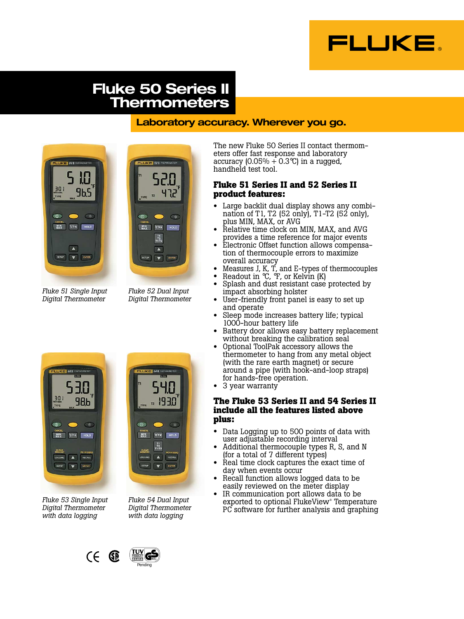

# **Fluke 50 Series II Thermometers**

## **Laboratory accuracy. Wherever you go.**





*Fluke 52 Dual Input Digital Thermometer*

**DEPI** <sub>st</sub>

MIN CFK HOLD

 $\frac{171}{172}$ 

LOGGING A RECALL

 $\bigcirc$ 

*Fluke 51 Single Input Digital Thermometer*

**11**  $301$ 98ь  $\overline{a}$  $\circ$ MIN CFK HOLD A RECALL LOGGING SETUP V ENTER

*Fluke 53 Single Input Digital Thermometer with data logging*



 $\overline{O}$ 

The new Fluke 50 Series II contact thermometers offer fast response and laboratory accuracy  $(0.05\% + 0.3\degree C)$  in a rugged, handheld test tool.

## **Fluke 51 Series II and 52 Series II product features:**

- Large backlit dual display shows any combination of T1, T2 (52 only), T1-T2 (52 only), plus MIN, MAX, or AVG
- Relative time clock on MIN, MAX, and AVG provides a time reference for major events
- Electronic Offset function allows compensation of thermocouple errors to maximize overall accuracy
- Measures J, K, T, and E-types of thermocouples
- Readout in  ${}^{\circ}C$ ,  ${}^{\circ}F$ , or Kelvin (K)
- Splash and dust resistant case protected by impact absorbing holster
- User-friendly front panel is easy to set up and operate
- Sleep mode increases battery life; typical 1000-hour battery life
- Battery door allows easy battery replacement without breaking the calibration seal
- Optional ToolPak accessory allows the thermometer to hang from any metal object (with the rare earth magnet) or secure around a pipe (with hook-and-loop straps) for hands-free operation.
- 3 year warranty

## **The Fluke 53 Series II and 54 Series II include all the features listed above plus:**

- Data Logging up to 500 points of data with user adjustable recording interval
- Additional thermocouple types R, S, and N (for a total of 7 different types)
- Real time clock captures the exact time of day when events occur
- Recall function allows logged data to be easily reviewed on the meter display
- IR communication port allows data to be exported to optional FlukeView® Temperature PC software for further analysis and graphing